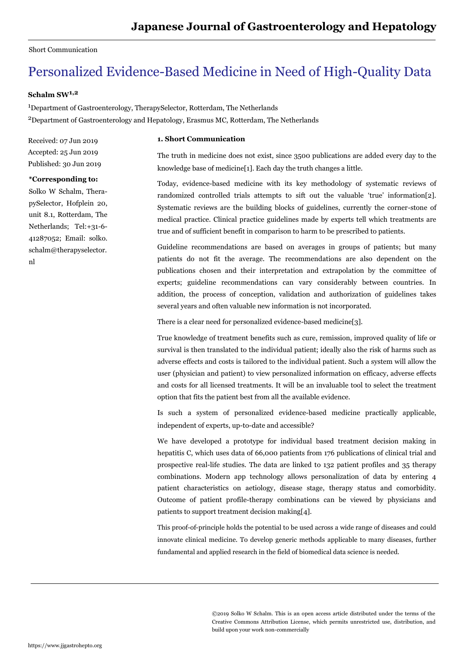## Short Communication

# Personalized Evidence-Based Medicine in Need of High-Quality Data

## **Schalm SW1,2**

<sup>1</sup>Department of Gastroenterology, TherapySelector, Rotterdam, The Netherlands <sup>2</sup>Department of Gastroenterology and Hepatology, Erasmus MC, Rotterdam, The Netherlands

Received: 07 Jun 2019 Accepted: 25 Jun 2019 Published: 30 Jun 2019

### **\*Corresponding to:**

Solko W Schalm, TherapySelector, Hofplein 20, unit 8.1, Rotterdam, The Netherlands; Tel:+31-6- 41287052; Email: solko. schalm@therapyselector. nl

### **1. Short Communication**

The truth in medicine does not exist, since 3500 publications are added every day to the knowledge base of medicine[1]. Each day the truth changes a little.

Today, evidence-based medicine with its key methodology of systematic reviews of randomized controlled trials attempts to sift out the valuable 'true' information[2]. Systematic reviews are the building blocks of guidelines, currently the corner-stone of medical practice. Clinical practice guidelines made by experts tell which treatments are true and of sufficient benefit in comparison to harm to be prescribed to patients.

Guideline recommendations are based on averages in groups of patients; but many patients do not fit the average. The recommendations are also dependent on the publications chosen and their interpretation and extrapolation by the committee of experts; guideline recommendations can vary considerably between countries. In addition, the process of conception, validation and authorization of guidelines takes several years and often valuable new information is not incorporated.

There is a clear need for personalized evidence-based medicine[3].

True knowledge of treatment benefits such as cure, remission, improved quality of life or survival is then translated to the individual patient; ideally also the risk of harms such as adverse effects and costs is tailored to the individual patient. Such a system will allow the user (physician and patient) to view personalized information on efficacy, adverse effects and costs for all licensed treatments. It will be an invaluable tool to select the treatment option that fits the patient best from all the available evidence.

Is such a system of personalized evidence-based medicine practically applicable, independent of experts, up-to-date and accessible?

We have developed a prototype for individual based treatment decision making in hepatitis C, which uses data of 66,000 patients from 176 publications of clinical trial and prospective real-life studies. The data are linked to 132 patient profiles and 35 therapy combinations. Modern app technology allows personalization of data by entering 4 patient characteristics on aetiology, disease stage, therapy status and comorbidity. Outcome of patient profile-therapy combinations can be viewed by physicians and patients to support treatment decision making[4].

This proof-of-principle holds the potential to be used across a wide range of diseases and could innovate clinical medicine. To develop generic methods applicable to many diseases, further fundamental and applied research in the field of biomedical data science is needed.

> ©2019 Solko W Schalm. This is an open access article distributed under the terms of the Creative Commons Attribution License, which permits unrestricted use, distribution, and build upon your work non-commercially